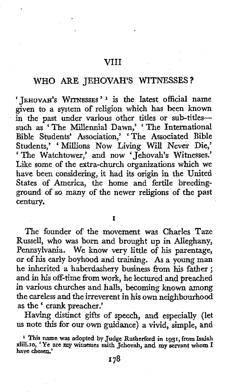#### VI11

# **WHO** ARE JEHOVAH'S **WITNESSES** ?

' **JEHOVAH'S WITNESSES** ' **1** is the latest official name given to a system of religion which has been known in the past under various other titles or sub-titlessuch as 'The Millennia1 **Dawn,'** 'The International such as The Millenniai Dawn, The International Bible Students' Association, 'The Associated Bible Students,' 'Millions Now Living Will Never Die,' ' The Watchtower,' and now ' Jehovah's Witnesses.' Like some of the extra-church organizations which we have been considering, it had its origin in the United States of America, the home and fertile breedingground *of* so many of the newer religions of the past century.

**I** 

The founder of the movement was Charles Taze Russell, who was born and brought up in Alleghany, Pennsylvania. We know very little of his parentage, **or** of his early boyhood and training. **As** a young man he inherited a haberdashery business from his father ; and in his off-time from work, he lectured and preached in various churches and halls, becoming known among the careless and the irreverent in his own neighbourhood as the ' crank preacher.'

Having distinct gifts of speech, and especially (let us note this for our own guidance) a vivid, simple, and

**This name was adopted by Judge Rutherford in 1931, from Isaiah xliii.10,** *'Ye* **are my witnesses saith Jehovah, and my servant whom I have chosen.'**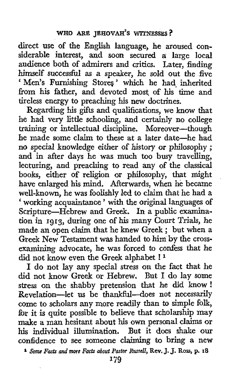direct use of the English language, he aroused considerable interest, and **soon** secured a large local audience both of admirers and critics. Later, finding himself successful as a speaker, he sold out the five ' Men's Furnishing Stores' which he had inherited from his father, and devoted most of his time and tireless energy to preaching his new doctrines.

Regarding his gifts and qualifications, **we know** that he had very little schooling, and certainly no college training or intellectual discipline. Moreover-though he made some claim to these at a later date-he had no special knowledge either of history or philosophy ; and in after days he was much too busy travelling, lecturing, and preaching to read any of the classical books, either of religion or philosophy, that might have enlarged his mind. Afterwards, when he became well-known, he was foolishly led to claim that he had a ' working acquaintance ' with the original languages of Scripture-Hebrew and Greek. In a public examination in **1913,** during one of his many Court Trials, he made an open claim that he knew Greek ; but when a Greek New Testament was handed to him by the crossexamining advocate, he was forced to confess that he did not know even the Greek alphabet ! **<sup>1</sup>**

**I do** not lay any special stress on the fact that he did not know Greek or Hebrew. But I do lay some stress on the shabby pretension that he did know ! Revelation-let us be thankful-does not necessarily come to scholars any more readily than to simple folk, for it is quite possible to believe that scholarship may make a man hesitant about his **own** personal claims or **his** individual illumination. But it does shake our confidence to see someone claiming to bring a new

**<sup>1</sup>***Som Facts and* **mwc** *Facts &out Pastor Russcll,* **Rev.** J. **J.** Ross, **p. 18**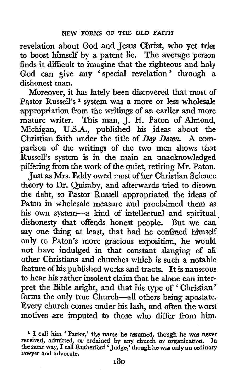revelation about God and Jesus Christ, who yet tries to boost himself by a patent lie. The average person finds it difficult to imagine that the righteous and holy God can give any 'special revelation' through a dishonest man.

Moreover, it has lately been discovered that most of Pastor Russell's **1** system was a more or less wholesale appropriation from the writings of an earlier and more mature writer. This man, J. H. Paton of Almond, Michigan, **U.S.A.,** published his ideas about the Christian faith under the title of *Day Dawn.* **A** comparison of the writings of the two men shows that Russell's system is in the main an unacknowledged pilfering from the work of the quiet, retiring Mr. Paton.

Just as Mrs. Eddy owed most of her Christian Science theory to Dr. Quimby, and afterwards tried to disown the debt, so Pastor Russell appropriated the ideas of Paton in wholesale measure and proclaimed them as his own system-a kind of intellectual and spiritual dishonesty that offends honest people. But we can say one thing **at** least, that had he confined himself only to Paton's more gracious exposition, he would not have indulged in that constant slanging of all other Christians and churches which is such a notable feature **of** his published works and tracts. **It** is nauseous to hear **his** rather insolent claim that he alone can interpret the Bible aright, and that his type of ' Christian' forms the only true Church-all others being apostate. Every church comes under his lash, and often the worst motives are imputed to those who differ from him.

**I call** him ' **Pastor,' the name he assumed, though he was never received, admitted, or ordained by any church or organization. In the same way, I call Rutherford 'Judge,' though he was only an ordinary lawyer and advocate.**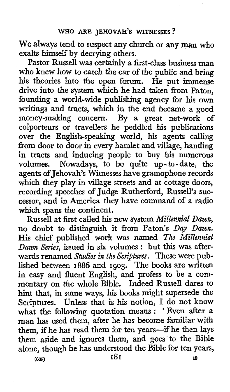We always tend to suspect any church or any man who exalts himself by decrying others.

Pastor Russell was certainly a first-class business man who knew how to catch the ear of the public and bring his theories into the open forum. He put immense drive into the system which he had taken from Paton, founding a world-wide publishing agency for **his** own writings and tracts, which in the end became **a** good money-making concern. By a great net-work of colporteurs or travellers he peddled his publications over the English-speaking world, his agents calling from door to door in every hamlet and village, handing in tracts and inducing people to buy his numerous<br>volumes. Nowadays, to be quite up-to-date, the Nowadays, to be quite up-to-date, the agents of Jehovah's Witnesses have gramophone records which they play in village streets and at cottage doors, recording speeches of Judge Rutherford, Russell's successor, and in America they have command of a radio which spans the continent.

Russell at first called his new system *Millennia2 Dawn,*  no doubt to distinguish it from Paton's *Day Dawn.*  His chief published work was named *The Millennial Dawn Series,* issued in *six* volumes : but this was afterwards renamed *Studies in the Scriptures.* These were published between **1886** and **1903.** The books are written in easy and fluent English, and profess to be a commentary on the whole Bible. Indeed Russell dares to hint that, in some ways, his books might supersede the Scriptures. Unless that **is** his notion, I do not know what the following quotation means : ' Even after a man has used them, **after** he has become familiar with them, if he has read them for ten years--if he then lays them aside and ignores them, and goes'to the Bible alone, though he has understood the Bible for ten years,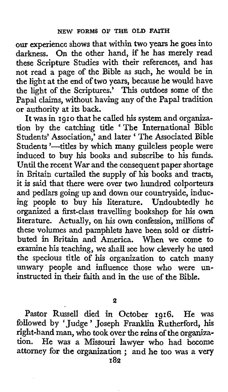**our** experience shows that within two years he goes into darkness. On the other hand, if he has merely read these Scripture Studies with their references, and has not read a page of the Bible as such, he would be in the light at the end of two years, because he would have the light of the Scriptures.' This outdoes some of the Papal claims, without having any of the Papal tradition **or** authority at its back.

It was in **1910** that he called his system and organization by the catching title The International Bible Students' Association,' and later ' The Associated Bible Students '-titles by which many guileless people were induced to buy his books and subscribe to his funds. Until the recent War and the consequent paper shortage in Britain curtailed the supply of his books and tracts, it is said that there were over two hundred colporteurs and pedlars going up and down our countryside, inducing people to buy **his** literature. Undoubtedly he organized a first-class travelling bookshop for his **own**  literature. Actually, on **his** own confession, millions of these volumes and pamphlets have been sold **or** distributed in Britain and America. When we come to examine his teaching, we shall see how cleverly he used the specious title of his organization to catch many unwary people and influence those who were uninstructed *in* their faith and in the use of the Bible.

**2** 

Pastor Russell died in October **1916.** He was followed by 'Judge ' Joseph Franklin Rutherford, his right-hand man, who took over **the** reins of the organization. He was a Missouri lawyer who had become attorney for **the** organization ; and he too was a very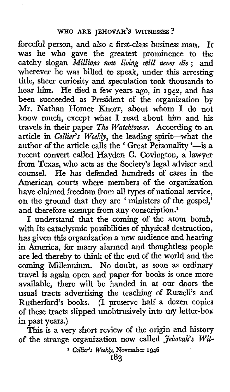forceful person, and also a first-class business man. **It**  was he who gave the greatest prominence to the catchy slogan *Millions now living will never die*; and wherever he was billed to speak, under this arresting title, sheer curiosity and speculation took thousands to **hear** him. He died a few years ago, in **1942,** and has been succeeded as President of the organization by Mr. Nathan Homer Knorr, about whom I do not know much, except what I read about him and his travels in their paper *The Watchtower.* According to an article in *Collier's Weekly,* the leading spirit-what the author of the article calls the 'Great Personality '-is a recent convert called Hayden C. Covington, a lawyer from Texas, who acts as the Society's legal adviser and counsel. He has defended hundreds **of** cases in the American courts where members of the organization have claimed freedom from all types of national service, on the ground that they are ' ministers of the gospel,' and therefore exempt from any conscription.<sup>1</sup>

I understand that the coming of the atom bomb, with its cataclysmic possibilities of physical destruction, has given this organization a new audience and hearing in America, for many alarmed and thoughtless people are led thereby to think of the end of the world and the coming Millennium. No doubt, as soon as ordinary travel is again open and paper for books is once more available, there will be handed in at our doors the usual tracts advertising the teaching of Russell's and Rutherford's books. (I preserve half a dozen copies of these tracts slipped unobtrusively into my letter-box in past years.)

This is a very short review of the origin and history of the strange organization **now** called *Jehovah's Wit-*

**<sup>1</sup>***Collier's Weekly,* **November 1946**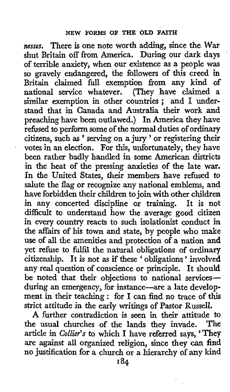*nesses.* There is one note worth adding, since the War shut Britain **off** from America. During our dark days of terrible anxiety, when our existence as a people was so gravely endangered, the followers of this creed **in**  Britain claimed full exemption **from** any kind of national service whatever. (They have claimed a similar exemption in other countries ; and I understand that in Canada and Australia their work and preaching have been outlawed.) In America they have rehsed to perfonn some of the normal duties of **ordinary**  citizens, such **as** ' serving on a jury ' or registering their votes in an election. For this, unfortunately, they have been rather badly handled in some American districts in the heat of the pressing anxieties **of** the late **war.**  In the United States, their members have refused to salute the flag or recognize any national emblems, and have forbidden their children to join with other children in any concerted discipline or training. It is **not**  difficult to understand how the average good citizen in every country reacts to such isolationist conduct in the affairs of his town **and** state, by people who make use **of** all the amenities and protection **of a** nation and yet refuse to fulfil the natural obligations of ordinary citizenship. It is not **as** if these ' obligations ' involved any real question of conscience or principle. It should be noted that their objections to national servicesduring an emergency, for instance-are a late development in their teaching : for **I** can find no trace **of** this strict attitude in the early writings of Pastor Russell.

**A** further contradiction is seen in their attitude to the usual churches of the lands they invade. The article in *Collier's* to which I have referred says, ' They are against all organized religion, since they *can* find no justification for a church or a hierarchy **of** any kind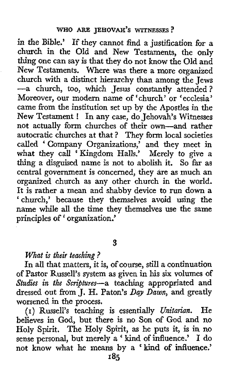in the Bible.' If they cannot find a justification for a church in the Old and New Testaments, the only thing one can say is that they do not know the Old and New Testaments. Where was there a more organized church with a distinct hierarchy than among the Jews -a church, too, which Jesus constantly attended? Moreover, our modern name **of** 'church' **or** 'ecclesia' came fiom the institution set up by the Apostles in the New Testament ! In any case, do Jehovah's Witnesses not actually form churches of their own-and rather autocratic churches at that ? They form local societies called 'Company Organizations,' and they meet in what they call 'Kingdom Halls.' Merely to give a thing a disguised name is not to abolish it. So far a6 central government is concerned, they are as much an organized church as any other church in the world. It is rather a mean and shabby device to run down a 'church,' because they themselves avoid using the name while all the time they themselves use the same principles of 'organization.'

## **3**

# *What* **is** *their teaching* ?

In all that matters, it is, *of* course, still a continuation of Pastor RusseU's system as given in **his** *six* volumes of *Studies in the* Scriptures-a teaching appropriated and dressed out fiom J. H. Paton's *Day Dawn,* and greatly worsened in the process.

 $\rm He$ believes in God, but there is no Son of God and no Holy Spirit. The Holy Spirit, as he puts it, is in no sense personal, but merely a ' kind of influence.' I do not know what he means by **a** 'kind *of* influence.' **(I)** Russell's teaching is essentially *Unitarian.*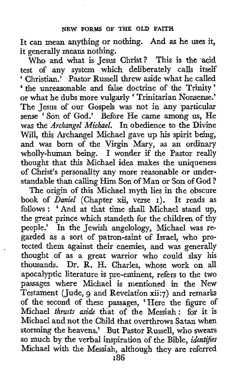It can mean anything or nothing. And as he uses it, it generally means nothing.

Who and what is Jesus Christ? This is the acid test of any system which deliberately calls itself ' Christian.' Pastor Russell threw aside what he called ' the unreasonable and false doctrine of the Trinity' or what he dubs more vulgarly 'Trinitarian Nonsense.' The Jesus of our Gospels was not in any particular sense 'Son of God.' Before He came among us, He was the *Archangel Michael.* In obedience to the Divine Will, this Archangel Michael gave up **his** spirit being, and was born of the Virgin Mary, as an ordinary wholly-human being. **I** wonder if the Pastor really thought that this Michael idea makes the uniqueness of Christ's personality any more reasonable **or** understandable than calling Him Son of Man or Son of God ?

The origin of this Michael myth lies in the obscure **book** of *Daniel* (Chapter xii, verse **I).** It reads as follows : ' And at that time shall Michael stand up, the great prince which standeth for the children of thy people.' In the Jewish angelology, Michael was regarded as a sort of patron-saint of Israel, who protected them against their enemies, and **was** generally thought of as a great warrior who could slay his thousands. Dr. R. H. Charles, whose work on all apocalyptic literature is pre-eminent, refers to the two passages where Michael is mentioned in the New Testament (Jude, g and Revelation xii:7) and remarks of the second of these passages, 'Here the figure of Michael *thrusts aside* th'at of the Messiah: for it is Michael and not the Child that overthrows Satan when storming the heavens.' But Pastor Russell, who swears so much by the verbal inspiration of the Bible, *identifies* Michael with the Messiah, although they are referred **186**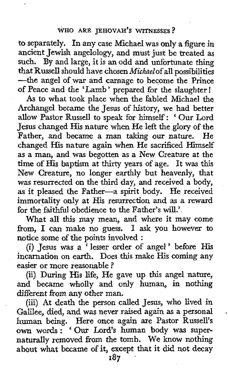to separately. In any case Michael was only a figure in ancient Jewish angelology, and must just be treated as such. **By** and large, it is an odd and unfortunate thing that Russell should have chosen Michaelof all possibilities -the angel of war and carnage to become the Prince of Peace and the 'Lamb ' prepared for the slaughter !

**As** to what took place when the fabled Michael the Archangel became the Jesus of history, we had better allow Pastor Russell to speak for himself: ' Our Lord Jesus changed His nature when He left the glory of the Father, and became a *man* taking our nature. **He**  changed **His** nature again when He sacrificed Himself as a man, and was begotten as a New Creature at the time **of** His baptism at thirty years of age. It **was** this New Creature, no longer earthly but heavenly, that was resurrected on the third day, and received a body, as it pleased the Father-a spirit body. He received immortality only at His resurrection and as a reward for the faithful obedience to the Father's will.'.

What all this may mean, and where it may come from, **I** can make no guess. I ask **you** however to notice some of the points involved :

(i) Jesus was *<sup>a</sup>*' lesser order of angel ' before **His**  incarnation on earth. Does this make His coming any easier or more reasonable ?

(ii) During His life, He gave up this angel nature, and became wholly and only human, in nothing different from any other man.

(iii) At death the person called Jesus, who lived in GaIilee, died, and was never raised again as a personal human being. Here once again are Pastor Russell's own words : ' **Our** Lord's human body was supernaturally removed from the tomb. We **know** nothing about what became **of** it, except that it did not decay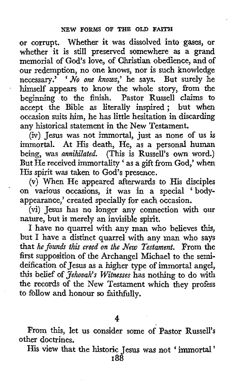or corrupt. Whether it was dissolved into gases, or whether it is still preserved somewhere **as** a grand memorial of God's love, of Christian obedience, and of our redemption, no one knows, nor is such knowledge necessary.' ' *No one knows*,' he says. But surely he himself appears to know the whole story, from the beginning to the finish, Pastor Russell claims to accept the Bible as literally inspired; but when occasion suits him, he has little hesitation in discarding any historical statement in the New Testament.

(iv) Jesus was not immortal, just as none of **us** is immortal. At His death, He, as a personal human being, was *annihilated.* (This is Russell's **own** word.) But He received immortality ' as a gift from God,' when His spirit was taken to God's presence.

**(v)** When He appeared afterwards to His disciples on various occasions, it was in a special 'bodyappearance,' created specially for each occasion.

'

(vi) Jesus has no longer any connection with our nature, but is merely an invisible spirit.

I have no quarrel with any man who believes this, but I have a distinct quarrel with any man who says that *he founds this creed on the New Testament*. From the first supposition of the Archangel Michael to the semideification of Jesus as a higher type of immortal angel, this belief of *Jehovah's Witnesses* has nothing to do with the records of the New Testament which they profess to follow and honour so faithfully.

**4** 

From this, let us consider some of **Pastor** Russell's other doctrines.

His **view** that the historic Jesus was not ' immortal '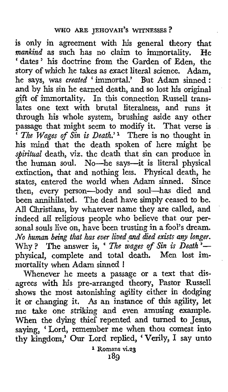is only in agreement with **his** general theory that *mankind* as such has no claim to immortality. He 'dates' his doctrine from the Garden of Eden, the story of which he takes as exact literal science. Adam. he says, was *created* ' immortal.' But Adam sinned : and by his sin he earned death, and so lost his original gift of immortality. In this connection Russell translates one text with brutal literalness, and runs it through his whole system, brushing aside any other passage that might seem to modify it. That verse is ' *The Wages of Sin is Death.'* There is no thought in his mind that the death spoken of here might be *spiritual* death, viz. the death that sin can produce in the human soul. No-he says-it is literal physical extinction, that and nothing less. Physical death, he states, entered the world when Adam sinned. Since then, every person-body and soul-has died and been annihilated. The dead have simply ceased to be. All Christians, by whatever name they are called, and indeed all reIigious people who beIieve that **our** personal souls live on, have been trusting in a fool's dream. *Mo human being that has ever lived and died exists any longer.* Why ? The answer is, **C** *The wages of Sin is Death* 'physical, complete and total death. Men lost immortality when Adam sinned !

Whenever he meets a passage or a text that disagrees with his pre-arranged theory, Pastor Russell shows the most astonishing agility either in dodging it or changing it. As an instance of this agility, let me take one striking and even amusing example. When the dying thief repented and turned to Jesus, saying, Lord, remember me when thou comest into thy kingdom,' Our Lord replied, 'Verily, I say unto

**1 Romans vi.23 189**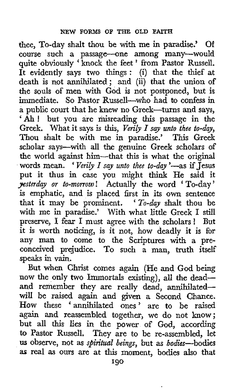thee, To-day shalt thou be with me in paradise.' Of course such a passage-one among many-wou quite obviously ' knock the feet ' from Pastor Russell. It evidently says two things : (i) that the thief at death is not annihilated; and (ii) that the union of the souls of men with God is not postponed, but is immediate. *So* Pastor Russell-who had to confess in **a** public court that he knew no Greek-turns and says, a public court that he knew no Greek—turns and says,<br>'Ah! but you are misreading this passage in the Greek. What it says is this, *Verily I say unto thee to-dy,*  Thou shalt be with me in paradise.' This Greek scholar says-with all the genuine Greek scholars of the world against him-that this is what the original words mean. 'Verily I say unto thee to-day'-as if Jesus put it thus in case you might think He said it *yesterday or to-morrow* ! Actually the word ' To-day ' is emphatic, and is placed first in its own sentence that it may be prominent. ' *To-day* shalt thou be with me in paradise.' With what little Greek I still preserve, I fear I must agree with the scholars! But it is worth noticing, is it not, how deadly it is for any man to come to the Scriptures with a preconceived prejudice. To such a man, truth itself speaks in vain.

But when Christ comes again (He and God being now the only **two** Immortals existing), all the deadand remember they are really dead, annihilatedwill be raised again and given a Second Chance. How these 'annihilated ones' are to be raised again and reassembled together, we do not know; but all this lies in the power of God, according to Pastor Russell. They are to be re-assembled, let us observe, not as *spiritual beings*, but as *bodies*-bodies **as** real as **ours** are at **this** moment, bodies **also** that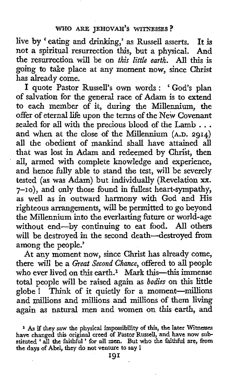live by ' eating and drinking,' as Russell asserts. It **is**  not a spiritual resurrection this, but a physical. And the resurrection will be on *this little earth. All* this is going to take place at any moment now, since Christ has already come.

I quote Pastor Russell's own words : ' God's plan of salvation for the general race of Adam is to extend to each member of it, during the Millennium, the offer of eternal life upon the terms of the New Covenant sealed for all with the precious blood of the Lamb . . . and when at the close of the Millennium **(A.D. 2914)**  all the obedient of mankind shall have attained all that was lost in Adam and redeemed by Christ, then all, armed with complete knowledge and experience, and hence fully able to stand the test, will be severely tested (as was Adam) but individually (Revelation **xx.**  7-10), and only those found in fullest heart-sympathy, **as** well as in outward harmony with God and His righteous arrangements, will be permitted to *go* beyond the Millennium into the everlasting hture or world-age without end-by continuing to eat food. All others will be destroyed in the second death-destroyed **from**  among the people.'

At any moment now, since Christ has already come, there will be a *&eat Second Chance,* offered to **all** people who ever lived on this earth.<sup>1</sup> Mark this-this immense total people will be raised again as *bodies* on this little globe ! Think of it quietly for a moment-millions and millions and millions and millions of them living again as natural men and women on this earth, and

**<sup>1</sup>As** *if* **they** *saw* **the physical impossibility of this, the later Witnesses have changed** this **original creed of Pastor Russell, and have now substituted** ' **all the faithful** ' **for all men. But who the faithful are, from the days of Abel, they do not venture to say** !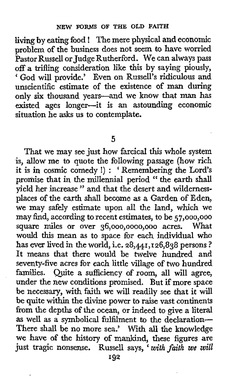living by eating food ! The mere physical and economic problem of the business does not seem to have worried Pastor Russell or Judge Rutherford. We can always pass off a trifling consideration like this by saying piously, ' God will provide.' Even on Russell's ridiculous and unscientific estimate of the existence of man during only *six* thousand years-and we know that **man** has existed ages longer-it is an astounding economic situation he asks us to contemplate.

**5** 

That we may see just how farcical **this** whole system is, allow me to quote the following passage (how rich it is in cosmic comedy !) : ' Remembering the Lord's promise that in the millennia1 period " the earth shall yield her increase " and that the desert and wildernessplaces of the earth shall become as a Garden of Eden, we may safely estimate upon all the land, which we may find, according to recent estimates, to be **57,000,ooo**  square miles or over **36,000,0000,000** acres. What would this mean as to space for each individual **who**  has ever lived in the world, i.e. **28,441,126,838** persons ? It means that there would be twelve hundred and seventy-five acres for each little village of two hundred families. Quite *a* sufficiency of room, all will agree, under the new conditions promised. But if more space be necessary, with faith we will readily see that it will be quite within the divine power to raise vast continents from the depths of the ocean, or indeed to give *a* literal as well as a symbolical fulfilment to the declaration-There shall be no more sea.' With all the knowledge we have of the history of mankind, these figures are just tragic nonsense. Russell says, ' *with faith we will*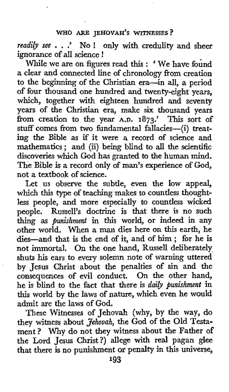#### **WHO** *ARE* **JEHOVAH'S WITNESSES?**

*readily see* . . .' **No** ! only with credulity and sheer ignorance of all science !

While we are on figures read this : 'We have found a clear and connected line of chronology from creation to the beginning of the Christian era-in all, a period of four thousand one hundred and twenty-eight years, which, together with eighteen hundred and seventy years of the Christian era, make *six* thousand years from creation to the year A.D. 1873.' This sort of stuff comes from two fundamental fallacies-(i) treating the Bible **as** if it were a record of science and mathematics ; and (ii) being blind to all the scientific discoveries which God has granted to the human mind. The Bible is a record only **of** man's experience of God, not a textbook **of** science.

Let us observe the subtle, even the **low** appeal, which this type of teaching makes to countless thoughtless people, and more especially to countless wicked people. Russell's doctrine is that there is no such thing as *punishment* in this world, or indeed in any other world. When a man dies here on this earth, he dies-and that is the end of it, and **of** him ; for he is not immortal, On the one hand, Russell deliberately. shuts his ears to every solemn note of warning uttered by Jesus Christ about the penalties of sin and the consequences of evil conduct. On the other hand, he is blind to the fact that there is *daily punishment* in this world by the laws of nature, which even he would admit are the laws of God.

These Witnesses of Jehovah (why, by the way, do they witness about *Jehovah,* the God **of** the Old Testament ? Why do not they witness about the Father **of**  the Lord Jesus Christ?) allege with real pagan glee that there is no punishment or **penalty** in this universe,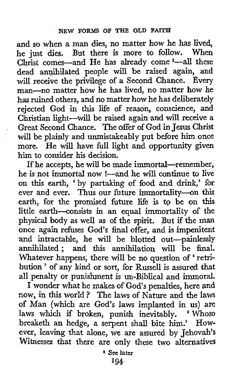and so when a man dies, no matter how he has lived, he just dies. But there is more to follow. When Christ comes-and He has already come<sup>1</sup>-all these dead anmilated people will be raised again, and will receive the privilege of a Second Chance. Every man-no matter how he has lived, no matter how he has ruined others, and no matter how he has deliberately rejected God in this life of reason, conscience, and Christian light-will be raised again and **will** receive a Great Second Chance. The offer of God in **Jesus** Christ will be plainly and unmistakeably put before him once more. He will have full light and opportunity given him to consider his decision.

If he accepts, he will be made immortal-remember, he is not immortal now !--- and he will continue to live on this earth, by partaking of food and drink,' for ever and ever. Thus our future immortality-on this earth, for the promised future life is to be on this little earth-consists in an equal immortality of the physical body as well as of the spirit, But if the man once again refuses God's final offer, and is impenitent and intractable, he will be blotted out-painlessly annihilated; and this annihilation will be final. annimiated; and this annimiation will be nual.<br>Whatever happens, there will be no question of 'retriwinatever nappens, there will be no question or retri-<br>bution ' of any kind or sort, for Russell is assured that all penalty or punishment is un-Biblical and immoral.

I wonder what he makes of God's penalties, here **and**  now, in this world ? The laws **of** Nature and the **laws**  of Man (which are God's laws implanted in us) are laws which if broken, punish inevitably. ' Whoso breaketh an hedge, a serpent shall bite him.' However, leaving that alone, we are assured by Jehovah's Witnesses **that** there are only these two alternatives

**I94 1 See later**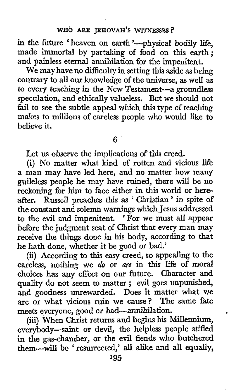in the future 'heaven on earth'—physical bodily life, made immortal by partaking of food on this earth; and painless eternal annihilation for the impenitent.

We may have no difficulty in setting this aside **as** being contrary to all our knowledge of the universe, **as** well as to every teaching in the New Testament-a groundless speculation, and ethically valueless. But we should not fail to see the subtle appeal which this type of teaching makes to millions of careless people who would like to believe it.

**6** 

Let us observe the implications **of** this creed.

(i) No matter what kind of **rotten** and vicious life a man may have led here, and no matter how many guileless people he may have ruined, there will be no reckoning for **him** to face either in this world or hereafter. Russell preaches this as 'Christian' in spite of the constant and solemn warnings which Jesus addressed to the evil and impenitent. 'For we must all appear before the judgment seat of Christ that every man may receive the things done in **his** body, according to that he hath done, whether it be good or bad.'

(ii) According to this easy creed, so appealing to the careless, nothing we *do* or *are* in this life of moral choices has aay effect on our future. Character and quality do not seem to matter ; evil goes unpunished, and goodness unrewarded. Does it matter what we are or what vicious ruin we cause? The same fate meets everyone, good or bad-annihilation.

(iii) When Christ returns and begins his Millennium, everybody-saint **or** devil, the helpless people stifled in the gas-chamber, **or** the evil fiends who butchered thern-will be 'resurrected,' **all** alike and all equally,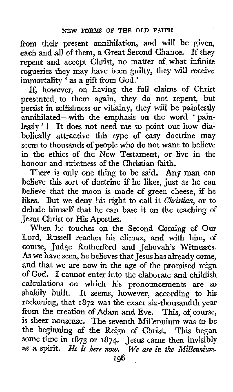from their present annihilation, and will be given, each and all of them, a Great Second Chance. If they repent and accept Christ, no matter of what infinite rogueries they may have been guilty, they will receive immortality 'as a gift from God.'

If, however, on having the full claims of Christ presented to them again, they do not repent, but persist in selfishness or villainy, they will be painlessly annihilated-with the emphasis on the word 'painlessly' ! It does not need me to point out **how** diabolically attractive this type of easy doctrine may seem to thousands of people who do not want to believe in the ethics of the New Testament, or live in the honour and strictness of the Christian faith.

There is only one thing to be said. Any man can believe this sort of doctrine if he likes, just as he can believe that the moon is made of green cheese, if he likes. But we deny his right to call it *Christian*, or to delude himself that he can base it on the teaching of Jesus Christ or His Apostles.

When he touches on the Second Coming of Our Lord, Russell reaches his climax, and with him, of course, Judge Rutherford and Jehovah's Witnesses. **As** we have seen, he believes that Jesus has already come, and that we are now in the age of the promised reign of God. I cannot enter into the elaborate and childish calculations on which his pronouncements are so shakily built. It seems, however, according to his reckoning, that I **872** was the exact six-thousandth year from the creation of Adam and Eve. This, of course, is sheer nonsense. The seventh Millennium was to be the beginning of the Reign of Christ. This began some time in **1873** or **1874.** Jesus came then invisibly **as** *a* spirit. *He* **is** *here now. We are in the Millennium.*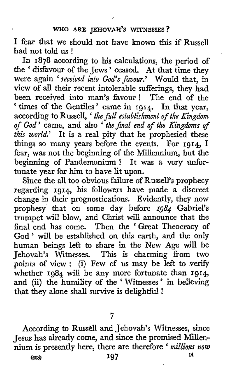### **WHO ARE JEHOVAH'S WITNESSES** ?

**I** fear that we should not have known this if Russell had not told us !

In **1878** according to **his** calculations, the period of the ' disfavour of the Jews ' ceased. At that time they were again ' *received into God's favour.'* Would that, in view of all their recent intolerable sufferings, they had been received into man's favour ! The end of the ' times of the Gentiles' came in **1914.** In that **year,**  according to Russell, ' *the full establishment of the Kingdom* according to Russell, ' *the full establishment of the Kingdom of God'* came, and also ' *theJinaZ end of the Kingdoms of this world.*' It is a real pity that he prophesied these things so many years before the events. For **1914,** I fear, was not the beginning of the Millennium, but the beginning of Pandemonium ! It was a very unfortunate year for him to have lit upon.

Since the all too obvious failure of Russell's prophecy regarding **1914,** his followers have made a discreet change in their prognostications. Evidently, they now prophesy that on some day before *1984* Gabriel's trumpet will blow, and Christ will announce that the final end has come. Then the ' Great Theocracy of God' will be established on this earth, and the only human beings left to share in the New Age will be Jehovah's Witnesses. **This** is charming from two points of view : (i) Few of us may be left to verify whether **1984** will be any more fortunate than **1914,**  and (ii) the humility of the 'Witnesses' in believing that they alone shall survive is delightful !

**7** 

According to Russell and Jehovah's Witnesses, since Jesus has already come, and since the promised Millennium is presently here, there are therefore ' *millions now*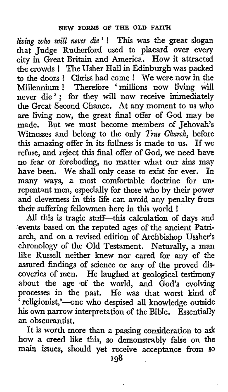*living zvho will never die'* ! This was the great **slogan**  that Judge Rutherford used to placard over every city in Great Britain and America. How it attracted the crowds ! The Usher Hall in Edinburgh was packed to the doors ! Christ had come ! We were now in the Millennium ! Therefore 'millions now living will never die'; for they will now receive immediately the Great Second Chance. At any moment to us who are living now, the great final offer of God may be made. But we must become members of Jehovah's Witnesses and belong to the only *Tme Church,* before this amazing offer in its hllness is made to us. If we refuse, and reject **this** final offer of God, we need have no fear or foreboding, no matter what **our** sins may have been. We shall only cease to exist for ever. In many ways, a most comfortable doctrine for unrepentant men, especially for those who by their power and cleverness in this life can avoid any penalty from their suffering fellowmen here in this world !

All this is tragic stuff-this calculation of days and events based on the reputed ages of the ancient Patriarch, and on a revised edition of Archbishop Ussher's chronology of the Old Testament. Naturally, a man like Russell neither knew nor cared for any of the assured findings of science or any of the proved discoveries of men. He laughed at geological testimony about the age of the world, and God's evolving processes in the past. He was that worst kind of religionist,'---one who despised all knowledge outside his own narrow interpretation of the Bible. Essentially an obscurantist.

It is worth more than a passing consideration to ask how a creed like this, so demonstrably false on the main issues, should yet receive acceptance **from SO**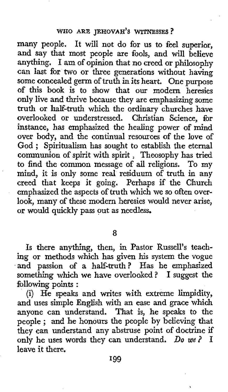many people. It will not do for us to feel superior, and say that most people are fools, and will believe anything. I am of opinion that no creed or philosophy can last for **two** or three generations without having some concealed germ of truth in its heart. One purpose of this book is to show that our modern heresies only live and thrive because they are emphasizing some truth **or** half-truth which the ordinary churches have overlooked or understressed. Christian Science, for instance, has emphasized the healing power of mind over body, and the continual resources of the love of over body, and the continual resources of the love of God; Spiritualism has sought to establish the eternal communion of spirit with spirit , Theosophy has tried to find the common message of all religions. To my mind, it is only some real residuum of truth in any creed that keeps it going. Perhaps **if** the Church emphasized the aspects of truth which we so often over**look,** many of these modern heresies would never arise, or would quickly pass out as needless.

*8* 

*Is* there anything, then, in Pastor Russell's teaching or methods which has given his system the vogue and passion of **a** half-truth? Has he emphasized something which we have overlooked? I suggest the following points :

(i) He speaks and writes **with** extreme limpidity, and uses simple English with an ease and grace which anyone can understand. That is, he speaks to the anyone can understand. I hat is, he speaks to the people; and he honours the people by believing that they can understand any abstruse point of doctrine if only he uses words they can understand. *Do we?* I leave it there.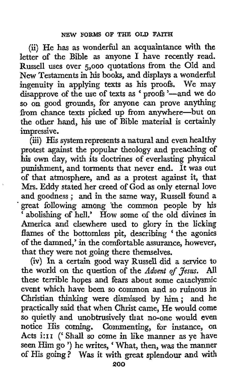(3) He has as wonderful an acquaintance with the letter of the Bible as anyone I have recently read. Russell uses over 5,000 quotations from the Old and New Testaments in his books, and displays a wonderful ingenuity in applying texts as his proofs. We may disapprove of the use of texts **as** ' proofs '-and we **do**  so on good grounds, for anyone can prove anything fiom chance texts picked up fiom anywhere-but on the other hand, his use of Bible material is certainly impressive.

(iii) His system represents a natural and even healthy protest against the popular theology and preaching of **his own** day, with its doctrines of everlasting physical punishment, and torments that never end, It was out **of** that atmosphere, and as a protest against it, that **Mrs.** Eddy stated her creed of God as only eternal love and goodness ; and in the same way, Russell found *<sup>a</sup>* 'great following among 'the common people by his ' abolishing of hell.' How some of the old divines in America and elsewhere used to glory in the licking America and elsewhere used to glory in the licking<br>flames of the bottomless pit, describing 'the agonies of the damned,' in the comfortable assurance, however, that they were not going there themselves.

(iv) In **a** certain good way Russell did a service to the world on the question of the *Advent OfJesus.* All these terrible hopes and fears about some cataclysmic event which have been so common and so ruinous in Christian thinking were dismissed by him; and he prqctically said that when **Christ** came, He would come **so** quietly and unobtrusively that no-one would even notice His coming. Commenting, for instance, on Acts i:11 (' Shall so come in **like** manner **as** ye have seen Him go ') he writes, What, then, was the manner of His going? **Was** it with great splendour and with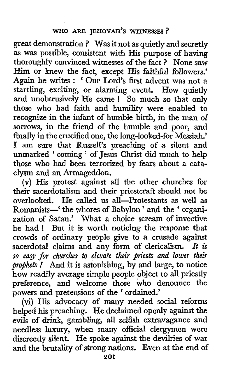great demonstration ? Was it not **as** quietly and secretly as was possible, consistent with His purpose of having thoroughly convinced witnesses of the fact ? None saw Him or knew the fact, except **His** faithful followers.' Again he writes : ' Our Lord's first advent was not a startling, exciting, or alarming event. How quietly and unobtrusively He came ! *So* much so that only those who had faith and humility were enabled to recognize in the infant of humble birth, in the man of sorrows, in the friend of the humble and poor, and finally in the crucified one, the long-looked-for Messiah.' I am sure that Russell's preaching of a silent and unmarked ' coming ' of Jesus Christ did much to help those who had been terrorized by fears about a cataclysm and an Armageddon.

(v) His protest against all the other churches for their sacerdotalism and their priestcraft should not be overlooked. He called us all-Protestants as well as Romanists-' the whores of Babylon ' and the ' organization of Satan.' What a choice scream of invective he had ! But it is worth noticing the response that crowds of ordinary people give to a crusade against sacerdotal claims and any form of clericalism. *It is*  so *easy for churches to elevate their priests and lower their prophets* .' And it is astonishing, by and large, to notice how readily average simple people object to all priestly preference, and welcome those who denounce the powers and pretensions of the ' ordained.'

(vi) His advocacy of many needed social reforms helped his preaching. He declaimed openly against the evils of drink, gambling, all selfish extravagance and needless luxury, when many official clergymen were discreetly silent. He spoke against the devilries of war and the brutality of strong nations. Even at the end of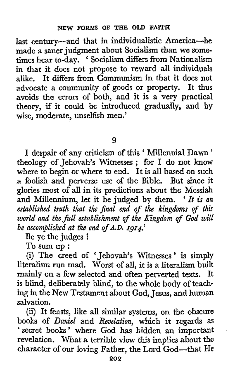last century-and that in individualistic America-he made a saner judgment about Socialism than we some-times hear to-day. ' Socialism differs from Nationalism in that it does not propose to reward all individuals alike, It differs fiom Communism in that it does not advocate a community of goods or property. It thus avoids the errors of both, and it is a very practical theory, if it could be introduced gradually, and by wise, moderate, unselfish men.'

**9** 

I despair of any criticism of this 'Millennial Dawn' theology of Jehovah's Witnesses ; for I do not know where to begin or where to end. It is all based on **such**  a foolish and perverse use of the Bible. But since it glories most of all in its predictions about the Messiah and Millennium, let it be judged by them. ' *It* is *an established truth that the final end of the kingdom if this world and the&ll establishment of the Kingdom of God will be accomplished at the end of A.D. rg14.* 

Be ye **the** judges !

To sum up :

(i) The creed of ' Jehovah's Witnesses ' **is** simply literalism run mad. Worst of all, it is a literalism built<br>mainly on a few selected and often nerverted texts. It mainly on a few selected and often perverted texts. is blind, deliberately blind, to the whole body of teaching in the New Testament about God, Jesus, and human salvation.

(ii) It feasts, like all similar systems, on the obscure books of *Daniel* and *Revelation,* which it regards as ' secret books ' where God has hidden an important revelation. What a terrible view this implies about the character of our loving Father, the Lord God-that He